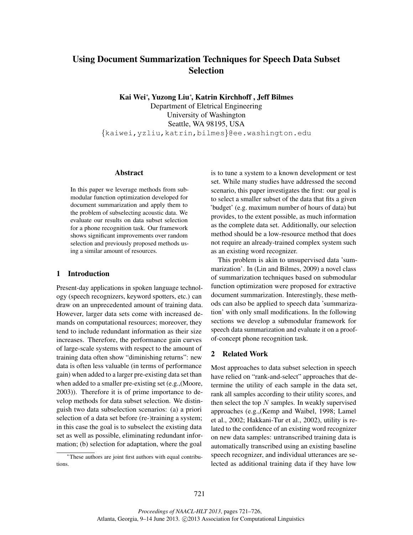# Using Document Summarization Techniques for Speech Data Subset **Selection**

Kai Wei<sup>∗</sup> , Yuzong Liu<sup>∗</sup> , Katrin Kirchhoff , Jeff Bilmes

Department of Eletrical Engineering University of Washington Seattle, WA 98195, USA {kaiwei,yzliu,katrin,bilmes}@ee.washington.edu

#### Abstract

In this paper we leverage methods from submodular function optimization developed for document summarization and apply them to the problem of subselecting acoustic data. We evaluate our results on data subset selection for a phone recognition task. Our framework shows significant improvements over random selection and previously proposed methods using a similar amount of resources.

#### 1 Introduction

Present-day applications in spoken language technology (speech recognizers, keyword spotters, etc.) can draw on an unprecedented amount of training data. However, larger data sets come with increased demands on computational resources; moreover, they tend to include redundant information as their size increases. Therefore, the performance gain curves of large-scale systems with respect to the amount of training data often show "diminishing returns": new data is often less valuable (in terms of performance gain) when added to a larger pre-existing data set than when added to a smaller pre-existing set (e.g.,(Moore, 2003)). Therefore it is of prime importance to develop methods for data subset selection. We distinguish two data subselection scenarios: (a) a priori selection of a data set before (re-)training a system; in this case the goal is to subselect the existing data set as well as possible, eliminating redundant information; (b) selection for adaptation, where the goal

is to tune a system to a known development or test set. While many studies have addressed the second scenario, this paper investigates the first: our goal is to select a smaller subset of the data that fits a given 'budget' (e.g. maximum number of hours of data) but provides, to the extent possible, as much information as the complete data set. Additionally, our selection method should be a low-resource method that does not require an already-trained complex system such as an existing word recognizer.

This problem is akin to unsupervised data 'summarization'. In (Lin and Bilmes, 2009) a novel class of summarization techniques based on submodular function optimization were proposed for extractive document summarization. Interestingly, these methods can also be applied to speech data 'summarization' with only small modifications. In the following sections we develop a submodular framework for speech data summarization and evaluate it on a proofof-concept phone recognition task.

# 2 Related Work

Most approaches to data subset selection in speech have relied on "rank-and-select" approaches that determine the utility of each sample in the data set, rank all samples according to their utility scores, and then select the top  $N$  samples. In weakly supervised approaches (e.g.,(Kemp and Waibel, 1998; Lamel et al., 2002; Hakkani-Tur et al., 2002), utility is related to the confidence of an existing word recognizer on new data samples: untranscribed training data is automatically transcribed using an existing baseline speech recognizer, and individual utterances are selected as additional training data if they have low

<sup>∗</sup>These authors are joint first authors with equal contributions.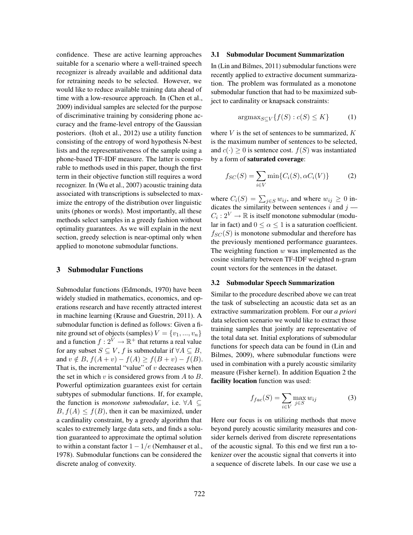confidence. These are active learning approaches suitable for a scenario where a well-trained speech recognizer is already available and additional data for retraining needs to be selected. However, we would like to reduce available training data ahead of time with a low-resource approach. In (Chen et al., 2009) individual samples are selected for the purpose of discriminative training by considering phone accuracy and the frame-level entropy of the Gaussian posteriors. (Itoh et al., 2012) use a utility function consisting of the entropy of word hypothesis N-best lists and the representativeness of the sample using a phone-based TF-IDF measure. The latter is comparable to methods used in this paper, though the first term in their objective function still requires a word recognizer. In (Wu et al., 2007) acoustic training data associated with transcriptions is subselected to maximize the entropy of the distribution over linguistic units (phones or words). Most importantly, all these methods select samples in a greedy fashion without optimality guarantees. As we will explain in the next section, greedy selection is near-optimal only when applied to monotone submodular functions.

## 3 Submodular Functions

Submodular functions (Edmonds, 1970) have been widely studied in mathematics, economics, and operations research and have recently attracted interest in machine learning (Krause and Guestrin, 2011). A submodular function is defined as follows: Given a finite ground set of objects (samples)  $V = \{v_1, ..., v_n\}$ and a function  $f: 2^V \to \mathbb{R}^+$  that returns a real value for any subset  $S \subseteq V$ , f is submodular if  $\forall A \subseteq B$ , and  $v \notin B$ ,  $f(A + v) - f(A) \ge f(B + v) - f(B)$ . That is, the incremental "value" of  $v$  decreases when the set in which  $v$  is considered grows from  $A$  to  $B$ . Powerful optimization guarantees exist for certain subtypes of submodular functions. If, for example, the function is *monotone submodular*, i.e. ∀A ⊆  $B, f(A) \leq f(B)$ , then it can be maximized, under a cardinality constraint, by a greedy algorithm that scales to extremely large data sets, and finds a solution guaranteed to approximate the optimal solution to within a constant factor  $1 - 1/e$  (Nemhauser et al., 1978). Submodular functions can be considered the discrete analog of convexity.

#### 3.1 Submodular Document Summarization

In (Lin and Bilmes, 2011) submodular functions were recently applied to extractive document summarization. The problem was formulated as a monotone submodular function that had to be maximized subject to cardinality or knapsack constraints:

$$
\operatorname{argmax}_{S \subseteq V} \{ f(S) : c(S) \le K \} \tag{1}
$$

where  $V$  is the set of sentences to be summarized,  $K$ is the maximum number of sentences to be selected, and  $c(\cdot) \geq 0$  is sentence cost.  $f(S)$  was instantiated by a form of saturated coverage:

$$
f_{SC}(S) = \sum_{i \in V} \min\{C_i(S), \alpha C_i(V)\}
$$
 (2)

where  $C_i(S) = \sum_{j \in S} w_{ij}$ , and where  $w_{ij} \ge 0$  indicates the similarity between sentences  $i$  and  $j$  —  $C_i: 2^V \to \mathbb{R}$  is itself monotone submodular (modular in fact) and  $0 \le \alpha \le 1$  is a saturation coefficient.  $f_{SC}(S)$  is monotone submodular and therefore has the previously mentioned performance guarantees. The weighting function  $w$  was implemented as the cosine similarity between TF-IDF weighted n-gram count vectors for the sentences in the dataset.

#### 3.2 Submodular Speech Summarization

Similar to the procedure described above we can treat the task of subselecting an acoustic data set as an extractive summarization problem. For our *a priori* data selection scenario we would like to extract those training samples that jointly are representative of the total data set. Initial explorations of submodular functions for speech data can be found in (Lin and Bilmes, 2009), where submodular functions were used in combination with a purely acoustic similarity measure (Fisher kernel). In addition Equation 2 the facility location function was used:

$$
f_{fac}(S) = \sum_{i \in V} \max_{j \in S} w_{ij}
$$
 (3)

Here our focus is on utilizing methods that move beyond purely acoustic similarity measures and consider kernels derived from discrete representations of the acoustic signal. To this end we first run a tokenizer over the acoustic signal that converts it into a sequence of discrete labels. In our case we use a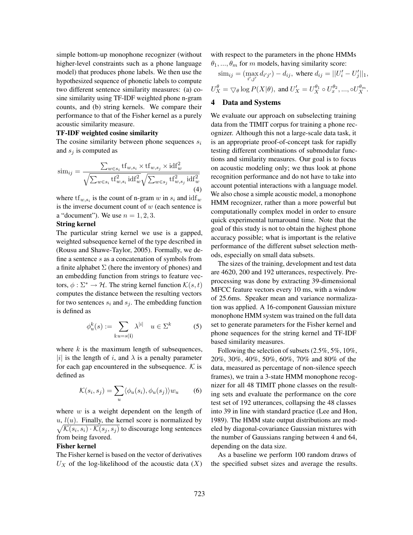simple bottom-up monophone recognizer (without higher-level constraints such as a phone language model) that produces phone labels. We then use the hypothesized sequence of phonetic labels to compute two different sentence similarity measures: (a) cosine similarity using TF-IDF weighted phone n-gram counts, and (b) string kernels. We compare their performance to that of the Fisher kernel as a purely acoustic similarity measure.

## TF-IDF weighted cosine similarity

The cosine similarity between phone sequences  $s_i$ and  $s_i$  is computed as

$$
\text{sim}_{ij} = \frac{\sum_{w \in s_i} \text{tf}_{w, s_i} \times \text{tf}_{w, s_j} \times \text{idf}_w^2}{\sqrt{\sum_{w \in s_i} \text{tf}_{w, s_i}^2 \text{idf}_w^2} \sqrt{\sum_{w \in s_j} \text{tf}_{w, s_j}^2 \text{idf}_w^2}}
$$
\n(4)

where  $\text{tf}_{w,s_i}$  is the count of n-gram w in  $s_i$  and  $\text{idf}_w$ is the inverse document count of  $w$  (each sentence is a "document"). We use  $n = 1, 2, 3$ .

## String kernel

The particular string kernel we use is a gapped, weighted subsequence kernel of the type described in (Rousu and Shawe-Taylor, 2005). Formally, we define a sentence s as a concatenation of symbols from a finite alphabet  $\Sigma$  (here the inventory of phones) and an embedding function from strings to feature vectors,  $\phi : \Sigma^* \to \mathcal{H}$ . The string kernel function  $\mathcal{K}(s, t)$ computes the distance between the resulting vectors for two sentences  $s_i$  and  $s_j$ . The embedding function is defined as

$$
\phi_u^k(s) := \sum_{\mathbf{i}: u = s(\mathbf{i})} \lambda^{|i|} \quad u \in \Sigma^k \tag{5}
$$

where  $k$  is the maximum length of subsequences, |i| is the length of i, and  $\lambda$  is a penalty parameter for each gap encountered in the subsequence.  $K$  is defined as

$$
\mathcal{K}(s_i, s_j) = \sum_u \langle \phi_u(s_i), \phi_u(s_j) \rangle w_u \qquad (6)
$$

where  $w$  is a weight dependent on the length of u,  $l(u)$ . Finally, the kernel score is normalized by  $\sqrt{\mathcal{K}(s_i, s_i) \cdot \mathcal{K}(s_i, s_j)}$  to discourage long sentences  $\mathcal{K}(s_i, s_i) \cdot \mathcal{K}(s_j, s_j)$  to discourage long sentences from being favored.

# Fisher kernel

The Fisher kernel is based on the vector of derivatives  $U_X$  of the log-likelihood of the acoustic data  $(X)$  with respect to the parameters in the phone HMMs  $\theta_1, ..., \theta_m$  for m models, having similarity score:

$$
\text{sim}_{ij} = (\max_{i',j'} d_{i'j'}) - d_{ij}, \text{ where } d_{ij} = ||U'_i - U'_j||_1,
$$
  

$$
U''_X = \bigtriangledown_{\theta} \log P(X|\theta), \text{ and } U'_X = U^{0}_{X} \circ U^{0}_{X}, ..., \circ U^{0}_{X}.
$$

## 4 Data and Systems

We evaluate our approach on subselecting training data from the TIMIT corpus for training a phone recognizer. Although this not a large-scale data task, it is an appropriate proof-of-concept task for rapidly testing different combinations of submodular functions and similarity measures. Our goal is to focus on acoustic modeling only; we thus look at phone recognition performance and do not have to take into account potential interactions with a language model. We also chose a simple acoustic model, a monophone HMM recognizer, rather than a more powerful but computationally complex model in order to ensure quick experimental turnaround time. Note that the goal of this study is not to obtain the highest phone accuracy possible; what is important is the relative performance of the different subset selection methods, especially on small data subsets.

The sizes of the training, development and test data are 4620, 200 and 192 utterances, respectively. Preprocessing was done by extracting 39-dimensional MFCC feature vectors every 10 ms, with a window of 25.6ms. Speaker mean and variance normalization was applied. A 16-component Gaussian mixture monophone HMM system was trained on the full data set to generate parameters for the Fisher kernel and phone sequences for the string kernel and TF-IDF based similarity measures.

Following the selection of subsets (2.5%, 5%, 10%, 20%, 30%, 40%, 50%, 60%, 70% and 80% of the data, measured as percentage of non-silence speech frames), we train a 3-state HMM monophone recognizer for all 48 TIMIT phone classes on the resulting sets and evaluate the performance on the core test set of 192 utterances, collapsing the 48 classes into 39 in line with standard practice (Lee and Hon, 1989). The HMM state output distributions are modeled by diagonal-covariance Gaussian mixtures with the number of Gaussians ranging between 4 and 64, depending on the data size.

As a baseline we perform 100 random draws of the specified subset sizes and average the results.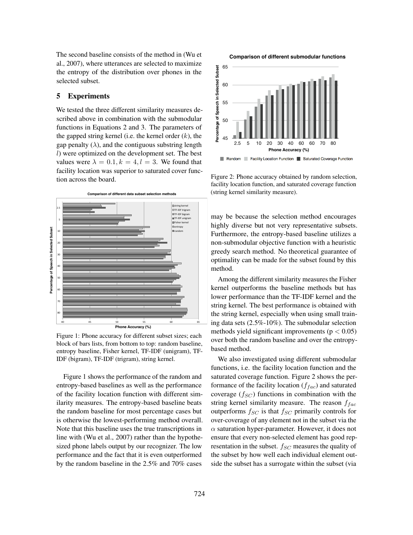The second baseline consists of the method in (Wu et al., 2007), where utterances are selected to maximize the entropy of the distribution over phones in the selected subset.

## 5 Experiments

We tested the three different similarity measures described above in combination with the submodular functions in Equations 2 and 3. The parameters of the gapped string kernel (i.e. the kernel order  $(k)$ , the gap penalty  $(\lambda)$ , and the contiguous substring length l) were optimized on the development set. The best values were  $\lambda = 0.1, k = 4, l = 3$ . We found that facility location was superior to saturated cover function across the board.



Figure 1: Phone accuracy for different subset sizes; each block of bars lists, from bottom to top: random baseline, entropy baseline, Fisher kernel, TF-IDF (unigram), TF-IDF (bigram), TF-IDF (trigram), string kernel.

Figure 1 shows the performance of the random and entropy-based baselines as well as the performance of the facility location function with different similarity measures. The entropy-based baseline beats the random baseline for most percentage cases but is otherwise the lowest-performing method overall. Note that this baseline uses the true transcriptions in line with (Wu et al., 2007) rather than the hypothesized phone labels output by our recognizer. The low performance and the fact that it is even outperformed by the random baseline in the 2.5% and 70% cases

**Comparison of different submodular functions**



Figure 2: Phone accuracy obtained by random selection, facility location function, and saturated coverage function (string kernel similarity measure).

may be because the selection method encourages highly diverse but not very representative subsets. Furthermore, the entropy-based baseline utilizes a non-submodular objective function with a heuristic greedy search method. No theoretical guarantee of optimality can be made for the subset found by this method.

Among the different similarity measures the Fisher kernel outperforms the baseline methods but has lower performance than the TF-IDF kernel and the string kernel. The best performance is obtained with the string kernel, especially when using small training data sets (2.5%-10%). The submodular selection methods yield significant improvements ( $p < 0.05$ ) over both the random baseline and over the entropybased method.

We also investigated using different submodular functions, i.e. the facility location function and the saturated coverage function. Figure 2 shows the performance of the facility location  $(f_{fac})$  and saturated coverage  $(f_{SC})$  functions in combination with the string kernel similarity measure. The reason  $f_{fac}$ outperforms  $f_{SC}$  is that  $f_{SC}$  primarily controls for over-coverage of any element not in the subset via the  $\alpha$  saturation hyper-parameter. However, it does not ensure that every non-selected element has good representation in the subset.  $f_{SC}$  measures the quality of the subset by how well each individual element outside the subset has a surrogate within the subset (via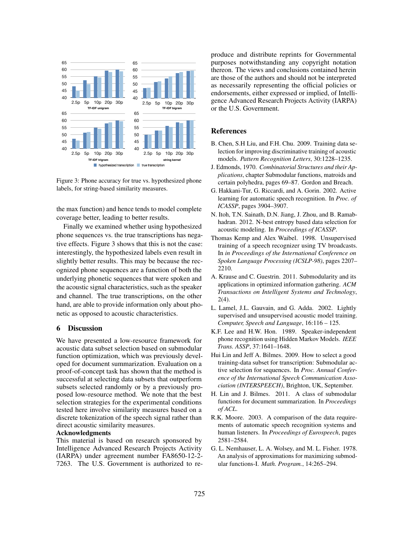

Figure 3: Phone accuracy for true vs. hypothesized phone labels, for string-based similarity measures.

the max function) and hence tends to model complete coverage better, leading to better results.

Finally we examined whether using hypothesized phone sequences vs. the true transcriptions has negative effects. Figure 3 shows that this is not the case: interestingly, the hypothesized labels even result in slightly better results. This may be because the recognized phone sequences are a function of both the underlying phonetic sequences that were spoken and the acoustic signal characteristics, such as the speaker and channel. The true transcriptions, on the other hand, are able to provide information only about phonetic as opposed to acoustic characteristics.

## 6 Discussion

We have presented a low-resource framework for acoustic data subset selection based on submodular function optimization, which was previously developed for document summarization. Evaluation on a proof-of-concept task has shown that the method is successful at selecting data subsets that outperform subsets selected randomly or by a previously proposed low-resource method. We note that the best selection strategies for the experimental conditions tested here involve similarity measures based on a discrete tokenization of the speech signal rather than direct acoustic similarity measures.

#### Acknowledgments

This material is based on research sponsored by Intelligence Advanced Research Projects Activity (IARPA) under agreement number FA8650-12-2- 7263. The U.S. Government is authorized to reproduce and distribute reprints for Governmental purposes notwithstanding any copyright notation thereon. The views and conclusions contained herein are those of the authors and should not be interpreted as necessarily representing the official policies or endorsements, either expressed or implied, of Intelligence Advanced Research Projects Activity (IARPA) or the U.S. Government.

#### References

- B. Chen, S.H Liu, and F.H. Chu. 2009. Training data selection for improving discriminative training of acoustic models. *Pattern Recognition Letters*, 30:1228–1235.
- J. Edmonds, 1970. *Combinatorial Structures and their Applications*, chapter Submodular functions, matroids and certain polyhedra, pages 69–87. Gordon and Breach.
- G. Hakkani-Tur, G. Riccardi, and A. Gorin. 2002. Active learning for automatic speech recognition. In *Proc. of ICASSP*, pages 3904–3907.
- N. Itoh, T.N. Sainath, D.N. Jiang, J. Zhou, and B. Ramabhadran. 2012. N-best entropy based data selection for acoustic modeling. In *Proceedings of ICASSP*.
- Thomas Kemp and Alex Waibel. 1998. Unsupervised training of a speech recognizer using TV broadcasts. In *in Proceedings of the International Conference on Spoken Language Processing (ICSLP-98)*, pages 2207– 2210.
- A. Krause and C. Guestrin. 2011. Submodularity and its applications in optimized information gathering. *ACM Transactions on Intelligent Systems and Technology*, 2(4).
- L. Lamel, J.L. Gauvain, and G. Adda. 2002. Lightly supervised and unsupervised acoustic model training. *Computer, Speech and Language*, 16:116 – 125.
- K.F. Lee and H.W. Hon. 1989. Speaker-independent phone recognition using Hidden Markov Models. *IEEE Trans. ASSP*, 37:1641–1648.
- Hui Lin and Jeff A. Bilmes. 2009. How to select a good training-data subset for transcription: Submodular active selection for sequences. In *Proc. Annual Conference of the International Speech Communication Association (INTERSPEECH)*, Brighton, UK, September.
- H. Lin and J. Bilmes. 2011. A class of submodular functions for document summarization. In *Proceedings of ACL*.
- R.K. Moore. 2003. A comparison of the data requirements of automatic speech recognition systems and human listeners. In *Proceedings of Eurospeech*, pages 2581–2584.
- G. L. Nemhauser, L. A. Wolsey, and M. L. Fisher. 1978. An analysis of approximations for maximizing submodular functions-I. *Math. Program.*, 14:265–294.